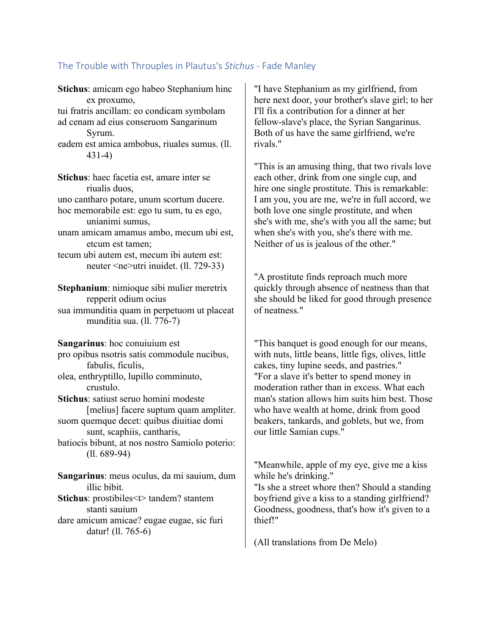## The Trouble with Throuples in Plautus's *Stichus* - Fade Manley

**Stichus**: amicam ego habeo Stephanium hinc ex proxumo, tui fratris ancillam: eo condicam symbolam ad cenam ad eius conseruom Sangarinum Syrum. eadem est amica ambobus, riuales sumus. (ll. 431-4) **Stichus**: haec facetia est, amare inter se riualis duos, uno cantharo potare, unum scortum ducere. hoc memorabile est: ego tu sum, tu es ego, unianimi sumus, unam amicam amamus ambo, mecum ubi est, etcum est tamen; tecum ubi autem est, mecum ibi autem est: neuter <ne>utri inuidet. (ll. 729-33) **Stephanium**: nimioque sibi mulier meretrix repperit odium ocius sua immunditia quam in perpetuom ut placeat munditia sua. (ll. 776-7) **Sangarinus**: hoc conuiuium est pro opibus nsotris satis commodule nucibus, fabulis, ficulis, olea, enthryptillo, lupillo comminuto, crustulo. **Stichus**: satiust seruo homini modeste [melius] facere suptum quam ampliter. suom quemque decet: quibus diuitiae domi sunt, scaphiis, cantharis, batiocis bibunt, at nos nostro Samiolo poterio: (ll. 689-94) **Sangarinus**: meus oculus, da mi sauium, dum illic bibit. **Stichus**: prostibiles < t > tandem? stantem stanti sauium dare amicum amicae? eugae eugae, sic furi datur! (ll. 765-6)

"I have Stephanium as my girlfriend, from here next door, your brother's slave girl; to her I'll fix a contribution for a dinner at her fellow-slave's place, the Syrian Sangarinus. Both of us have the same girlfriend, we're rivals."

"This is an amusing thing, that two rivals love each other, drink from one single cup, and hire one single prostitute. This is remarkable: I am you, you are me, we're in full accord, we both love one single prostitute, and when she's with me, she's with you all the same; but when she's with you, she's there with me. Neither of us is jealous of the other."

"A prostitute finds reproach much more quickly through absence of neatness than that she should be liked for good through presence of neatness."

"This banquet is good enough for our means, with nuts, little beans, little figs, olives, little cakes, tiny lupine seeds, and pastries." "For a slave it's better to spend money in moderation rather than in excess. What each man's station allows him suits him best. Those who have wealth at home, drink from good beakers, tankards, and goblets, but we, from our little Samian cups."

"Meanwhile, apple of my eye, give me a kiss while he's drinking."

"Is she a street whore then? Should a standing boyfriend give a kiss to a standing girlfriend? Goodness, goodness, that's how it's given to a thief!"

(All translations from De Melo)